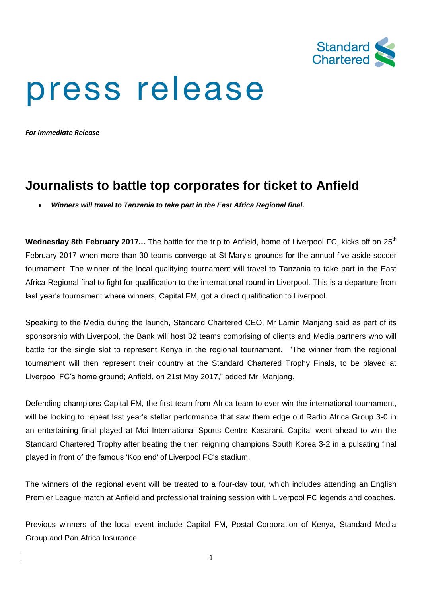

# press release

*For immediate Release*

## **Journalists to battle top corporates for ticket to Anfield**

*Winners will travel to Tanzania to take part in the East Africa Regional final.*

**Wednesday 8th February 2017...** The battle for the trip to Anfield, home of Liverpool FC, kicks off on 25<sup>th</sup> February 2017 when more than 30 teams converge at St Mary's grounds for the annual five-aside soccer tournament. The winner of the local qualifying tournament will travel to Tanzania to take part in the East Africa Regional final to fight for qualification to the international round in Liverpool. This is a departure from last year's tournament where winners, Capital FM, got a direct qualification to Liverpool.

Speaking to the Media during the launch, Standard Chartered CEO, Mr Lamin Manjang said as part of its sponsorship with Liverpool, the Bank will host 32 teams comprising of clients and Media partners who will battle for the single slot to represent Kenya in the regional tournament. "The winner from the regional tournament will then represent their country at the Standard Chartered Trophy Finals, to be played at Liverpool FC's home ground; Anfield, on 21st May 2017," added Mr. Manjang.

Defending champions Capital FM, the first team from Africa team to ever win the international tournament, will be looking to repeat last year's stellar performance that saw them edge out Radio Africa Group 3-0 in an entertaining final played at Moi International Sports Centre Kasarani. Capital went ahead to win the Standard Chartered Trophy after beating the then reigning champions South Korea 3-2 in a pulsating final played in front of the famous 'Kop end' of Liverpool FC's stadium.

The winners of the regional event will be treated to a four-day tour, which includes attending an English Premier League match at Anfield and professional training session with Liverpool FC legends and coaches.

Previous winners of the local event include Capital FM, Postal Corporation of Kenya, Standard Media Group and Pan Africa Insurance.